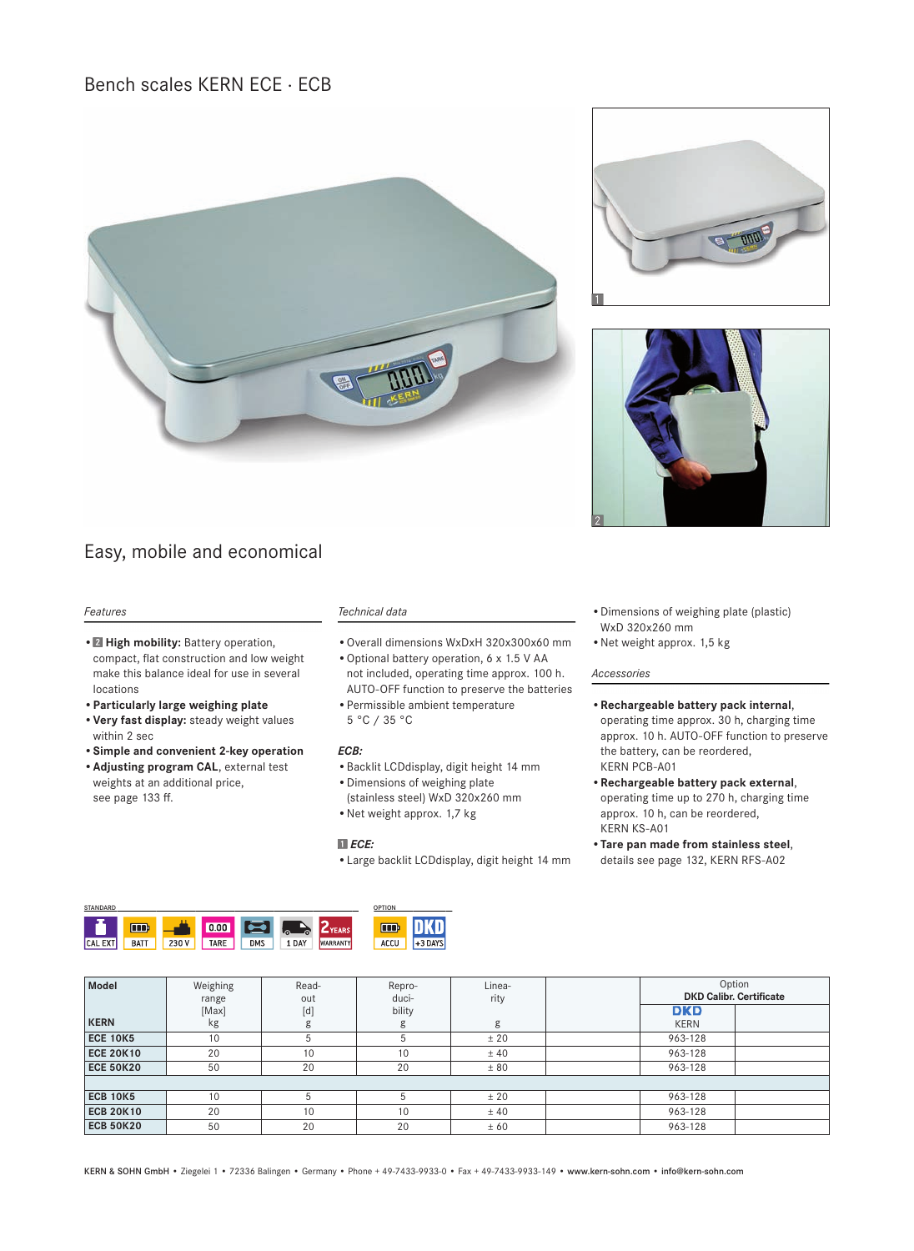Bench scales KERN ECE · ECB





## *Features*

- **Z** High mobility: Battery operation, compact, flat construction and low weight make this balance ideal for use in several locations
- **Particularly large weighing plate**
- **Very fast display:** steady weight values within 2 sec
- **Simple and convenient 2-key operation**
- **Adjusting program CAL**, external test weights at an additional price, see page 133 ff.

### *Technical data*

- Overall dimensions WxDxH 320x300x60 mm
- Optional battery operation, 6 x 1.5 V AA not included, operating time approx. 100 h. AUTO-OFF function to preserve the batteries
- Permissible ambient temperature 5 °C / 35 °C

#### *ECB:*

- Backlit LCDdisplay, digit height 14 mm
- Dimensions of weighing plate (stainless steel) WxD 320x260 mm
- Net weight approx. 1,7 kg

### *ECE:*

• Large backlit LCDdisplay, digit height 14 mm

- Dimensions of weighing plate (plastic) WxD 320x260 mm
- Net weight approx. 1,5 kg

#### *Accessories*

- **Rechargeable battery pack internal**, operating time approx. 30 h, charging time approx. 10 h. AUTO-OFF function to preserve the battery, can be reordered, KERN PCB-A01
- **Rechargeable battery pack external**, operating time up to 270 h, charging time approx. 10 h, can be reordered, KERN KS-A01
- **Tare pan made from stainless steel**, details see page 132, KERN RFS-A02

| <b>STANDARD</b> |             | <b>OPTION</b> |      |            |         |                 |      |         |
|-----------------|-------------|---------------|------|------------|---------|-----------------|------|---------|
|                 | <b>TOD</b>  |               | 0.00 |            | ھا<br>۵ | $Z$ YEARS       | TIOP |         |
| . EXT<br>ICAL.  | <b>BATT</b> | 230V          | TARE | <b>DMS</b> | 1 DAY   | <b>WARRANTY</b> | ACCU | +3 DAYS |
|                 |             |               |      |            |         |                 |      |         |

| Model            | Weighing<br>range | Read-<br>out | Repro-<br>duci- | Linea-<br>rity | Option<br><b>DKD Calibr. Certificate</b> |
|------------------|-------------------|--------------|-----------------|----------------|------------------------------------------|
|                  | [Max]             | [d]          | bility          |                | <b>DKD</b>                               |
| <b>KERN</b>      | kg                | g            | g               | g              | <b>KERN</b>                              |
| <b>ECE 10K5</b>  | 10                | 5            |                 | ± 20           | 963-128                                  |
| <b>ECE 20K10</b> | 20                | 10           | 10              | ± 40           | 963-128                                  |
| <b>ECE 50K20</b> | 50                | 20           | 20              | ± 80           | 963-128                                  |
|                  |                   |              |                 |                |                                          |
| <b>ECB 10K5</b>  | 10                | 5            |                 | ± 20           | 963-128                                  |
| <b>ECB 20K10</b> | 20                | 10           | 10              | ± 40           | 963-128                                  |
| <b>ECB 50K20</b> | 50                | 20           | 20              | ± 60           | 963-128                                  |